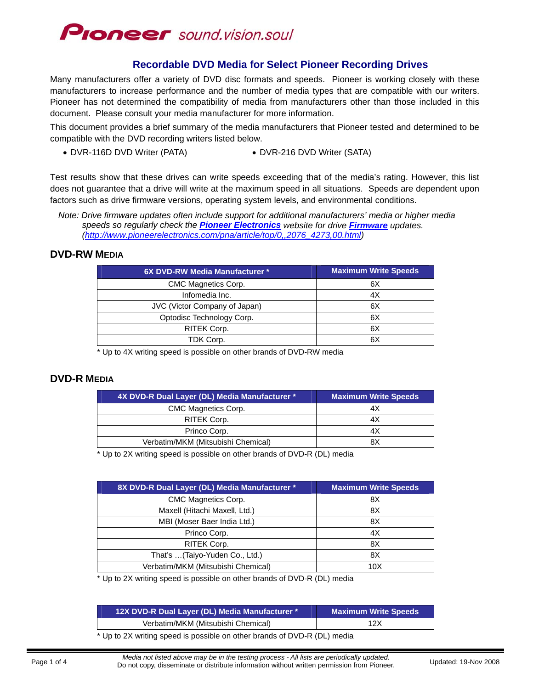

## **Recordable DVD Media for Select Pioneer Recording Drives**

Many manufacturers offer a variety of DVD disc formats and speeds. Pioneer is working closely with these manufacturers to increase performance and the number of media types that are compatible with our writers. Pioneer has not determined the compatibility of media from manufacturers other than those included in this document. Please consult your media manufacturer for more information.

This document provides a brief summary of the media manufacturers that Pioneer tested and determined to be compatible with the DVD recording writers listed below.

DVR-116D DVD Writer (PATA) DVR-216 DVD Writer (SATA)

Test results show that these drives can write speeds exceeding that of the media's rating. However, this list does not guarantee that a drive will write at the maximum speed in all situations. Speeds are dependent upon factors such as drive firmware versions, operating system levels, and environmental conditions.

*Note: Drive firmware updates often include support for additional manufacturers' media or higher media speeds so regularly check the [Pioneer Electronics](http://www.pioneerelectronics.com/) website for drive [Firmware](http://www.pioneerelectronics.com/pna/article/top/0,,2076_4273,00.html) updates. ([http://www.pioneerelectronics.com/pna/article/top/0,,2076\\_4273,00.html\)](http://www.pioneerelectronics.com/pna/article/top/0,,2076_4273,00.html)* 

#### **DVD-RW MEDIA**

| 6X DVD-RW Media Manufacturer * | <b>Maximum Write Speeds</b> |
|--------------------------------|-----------------------------|
| CMC Magnetics Corp.            | 6X                          |
| Infomedia Inc.                 | 4X                          |
| JVC (Victor Company of Japan)  | 6X                          |
| Optodisc Technology Corp.      | 6X                          |
| RITEK Corp.                    | 6X                          |
| TDK Corp.                      | 6X                          |

\* Up to 4X writing speed is possible on other brands of DVD-RW media

#### **DVD-R MEDIA**

| 4X DVD-R Dual Layer (DL) Media Manufacturer * | <b>Maximum Write Speeds</b> |
|-----------------------------------------------|-----------------------------|
| CMC Magnetics Corp.                           | 4Х                          |
| RITEK Corp.                                   | 4Х                          |
| Princo Corp.                                  | 4Х                          |
| Verbatim/MKM (Mitsubishi Chemical)            | яx                          |

\* Up to 2X writing speed is possible on other brands of DVD-R (DL) media

| 8X DVD-R Dual Layer (DL) Media Manufacturer * | <b>Maximum Write Speeds</b> |
|-----------------------------------------------|-----------------------------|
| CMC Magnetics Corp.                           | 8Χ                          |
| Maxell (Hitachi Maxell, Ltd.)                 | 8X                          |
| MBI (Moser Baer India Ltd.)                   | 8X                          |
| Princo Corp.                                  | 4X                          |
| RITEK Corp.                                   | 8X                          |
| That's  (Taiyo-Yuden Co., Ltd.)               | 8Χ                          |
| Verbatim/MKM (Mitsubishi Chemical)            | 10 <sub>X</sub>             |

\* Up to 2X writing speed is possible on other brands of DVD-R (DL) media

| 12X DVD-R Dual Layer (DL) Media Manufacturer * 1                                                  | <b>Maximum Write Speeds</b> |
|---------------------------------------------------------------------------------------------------|-----------------------------|
| Verbatim/MKM (Mitsubishi Chemical)                                                                | 12X                         |
| $\mathbf{u}$ and $\mathbf{v}$ and $\mathbf{u}$ and $\mathbf{u}$ and $\mathbf{u}$ and $\mathbf{v}$ |                             |

Up to 2X writing speed is possible on other brands of DVD-R (DL) media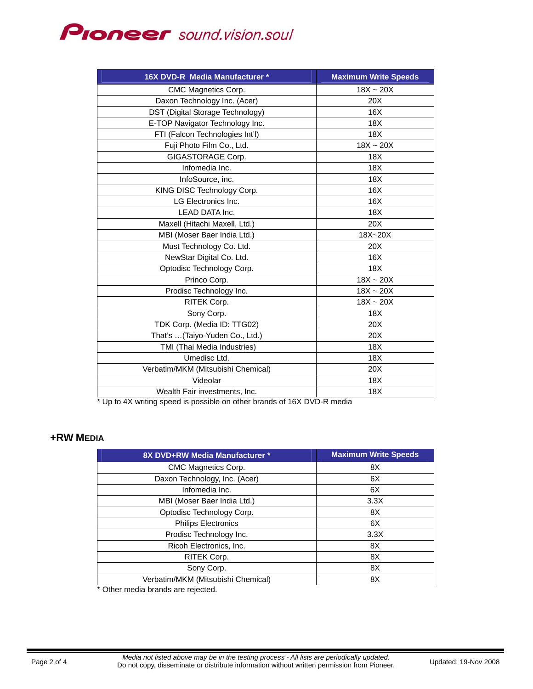

| 16X DVD-R Media Manufacturer *     | <b>Maximum Write Speeds</b> |
|------------------------------------|-----------------------------|
| CMC Magnetics Corp.                | $18X - 20X$                 |
| Daxon Technology Inc. (Acer)       | 20X                         |
| DST (Digital Storage Technology)   | 16X                         |
| E-TOP Navigator Technology Inc.    | 18X                         |
| FTI (Falcon Technologies Int'l)    | 18X                         |
| Fuji Photo Film Co., Ltd.          | $18X - 20X$                 |
| GIGASTORAGE Corp.                  | 18X                         |
| Infomedia Inc.                     | 18 <sub>X</sub>             |
| InfoSource, inc.                   | 18X                         |
| KING DISC Technology Corp.         | 16X                         |
| LG Electronics Inc.                | 16X                         |
| LEAD DATA Inc.                     | 18X                         |
| Maxell (Hitachi Maxell, Ltd.)      | 20X                         |
| MBI (Moser Baer India Ltd.)        | 18X~20X                     |
| Must Technology Co. Ltd.           | 20X                         |
| NewStar Digital Co. Ltd.           | 16X                         |
| Optodisc Technology Corp.          | 18X                         |
| Princo Corp.                       | $18X - 20X$                 |
| Prodisc Technology Inc.            | $18X - 20X$                 |
| RITEK Corp.                        | $18X \sim 20X$              |
| Sony Corp.                         | 18X                         |
| TDK Corp. (Media ID: TTG02)        | 20X                         |
| That's  (Taiyo-Yuden Co., Ltd.)    | 20X                         |
| TMI (Thai Media Industries)        | 18X                         |
| Umedisc Ltd.                       | 18X                         |
| Verbatim/MKM (Mitsubishi Chemical) | 20X                         |
| Videolar                           | 18X                         |
| Wealth Fair investments, Inc.      | 18 <sub>X</sub>             |

Up to 4X writing speed is possible on other brands of 16X DVD-R media

### **+RW MEDIA**

| 8X DVD+RW Media Manufacturer *     | <b>Maximum Write Speeds</b> |
|------------------------------------|-----------------------------|
| <b>CMC Magnetics Corp.</b>         | 8X                          |
| Daxon Technology, Inc. (Acer)      | 6X                          |
| Infomedia Inc.                     | 6X                          |
| MBI (Moser Baer India Ltd.)        | 3.3X                        |
| Optodisc Technology Corp.          | 8X                          |
| <b>Philips Electronics</b>         | 6X                          |
| Prodisc Technology Inc.            | 3.3X                        |
| Ricoh Electronics, Inc.            | 8X                          |
| RITEK Corp.                        | 8X                          |
| Sony Corp.                         | 8X                          |
| Verbatim/MKM (Mitsubishi Chemical) | 8X                          |
|                                    |                             |

Other media brands are rejected.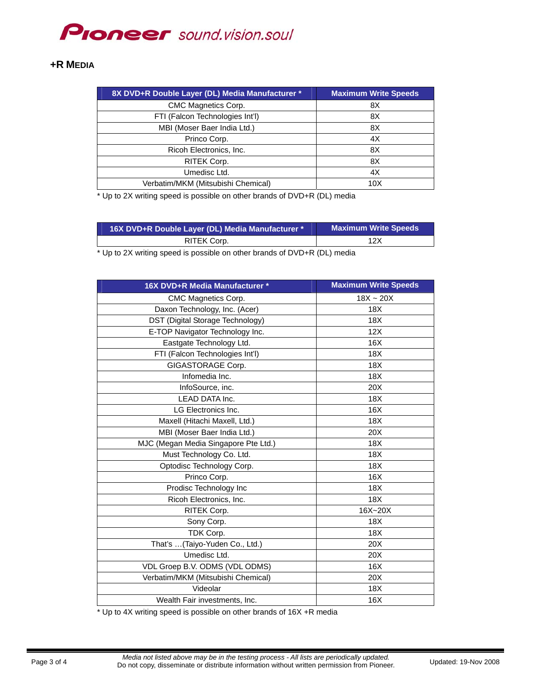# **PIONEEF** sound.vision.soul

#### **+R MEDIA**

| 8X DVD+R Double Layer (DL) Media Manufacturer * | <b>Maximum Write Speeds</b> |
|-------------------------------------------------|-----------------------------|
| CMC Magnetics Corp.                             | 8Χ                          |
| FTI (Falcon Technologies Int'l)                 | 8X                          |
| MBI (Moser Baer India Ltd.)                     | 8X                          |
| Princo Corp.                                    | 4X                          |
| Ricoh Electronics, Inc.                         | 8X                          |
| RITEK Corp.                                     | 8X                          |
| Umedisc Ltd.                                    | 4X                          |
| Verbatim/MKM (Mitsubishi Chemical)              | 10X                         |

\* Up to 2X writing speed is possible on other brands of DVD+R (DL) media

| 16X DVD+R Double Layer (DL) Media Manufacturer * | <b>Maximum Write Speeds</b> |
|--------------------------------------------------|-----------------------------|
| RITEK Corp.                                      | 12X                         |

\* Up to 2X writing speed is possible on other brands of DVD+R (DL) media

| 16X DVD+R Media Manufacturer *       | <b>Maximum Write Speeds</b> |
|--------------------------------------|-----------------------------|
| CMC Magnetics Corp.                  | $18X - 20X$                 |
| Daxon Technology, Inc. (Acer)        | 18X                         |
| DST (Digital Storage Technology)     | 18X                         |
| E-TOP Navigator Technology Inc.      | 12X                         |
| Eastgate Technology Ltd.             | 16X                         |
| FTI (Falcon Technologies Int'l)      | 18X                         |
| GIGASTORAGE Corp.                    | 18 <sub>X</sub>             |
| Infomedia Inc.                       | 18X                         |
| InfoSource, inc.                     | 20X                         |
| <b>LEAD DATA Inc.</b>                | 18X                         |
| LG Electronics Inc.                  | 16X                         |
| Maxell (Hitachi Maxell, Ltd.)        | 18X                         |
| MBI (Moser Baer India Ltd.)          | 20X                         |
| MJC (Megan Media Singapore Pte Ltd.) | 18X                         |
| Must Technology Co. Ltd.             | 18X                         |
| Optodisc Technology Corp.            | 18X                         |
| Princo Corp.                         | 16X                         |
| Prodisc Technology Inc               | 18X                         |
| Ricoh Electronics, Inc.              | 18X                         |
| RITEK Corp.                          | 16X~20X                     |
| Sony Corp.                           | 18 <sub>X</sub>             |
| TDK Corp.                            | 18X                         |
| That's  (Taiyo-Yuden Co., Ltd.)      | 20X                         |
| Umedisc Ltd.                         | 20X                         |
| VDL Groep B.V. ODMS (VDL ODMS)       | 16X                         |
| Verbatim/MKM (Mitsubishi Chemical)   | 20X                         |
| Videolar                             | 18X                         |
| Wealth Fair investments, Inc.        | 16X                         |

\* Up to 4X writing speed is possible on other brands of 16X +R media